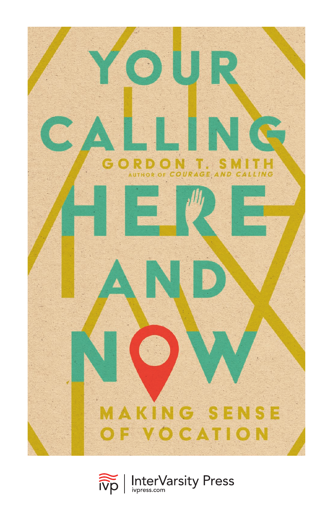

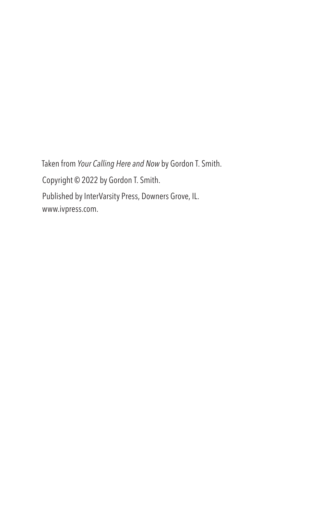Taken from *Your Calling Here and Now* by Gordon T. Smith. Copyright © 2022 by Gordon T. Smith. Published by InterVarsity Press, Downers Grove, IL. [www.ivpress.com.](https://www.ivpress.com)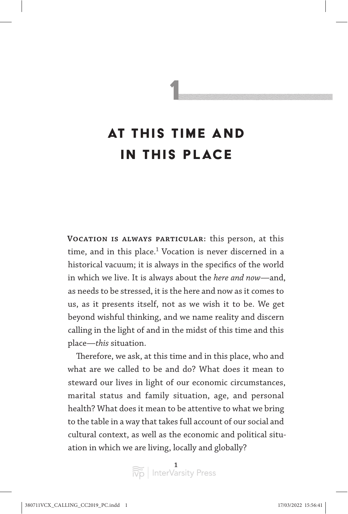# AT THIS TIME AND IN THIS PLACE

**1** 

**Vocation is always particular:** this person, at this time, and in this place.<sup>1</sup> Vocation is never discerned in a historical vacuum; it is always in the specifics of the world in which we live. It is always about the *here and now*—and, as needs to be stressed, it is the here and now as it comes to us, as it presents itself, not as we wish it to be. We get beyond wishful thinking, and we name reality and discern calling in the light of and in the midst of this time and this place—*this* situation.

Therefore, we ask, at this time and in this place, who and what are we called to be and do? What does it mean to steward our lives in light of our economic circumstances, marital status and family situation, age, and personal health? What does it mean to be attentive to what we bring to the table in a way that takes full account of our social and cultural context, as well as the economic and political situation in which we are living, locally and globally?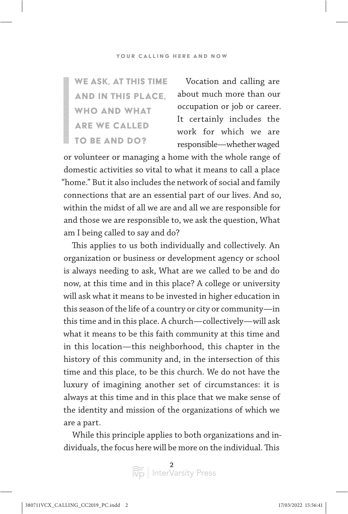WE ASK, AT THIS TIME and in this place, WHO AND WHAT are we called to be and do?

Vocation and calling are about much more than our occupation or job or career. It certainly includes the work for which we are responsible—whether waged

or volunteer or managing a home with the whole range of domestic activities so vital to what it means to call a place "home." But it also includes the network of social and family connections that are an essential part of our lives. And so, within the midst of all we are and all we are responsible for and those we are responsible to, we ask the question, What am I being called to say and do?

This applies to us both individually and collectively. An organization or business or development agency or school is always needing to ask, What are we called to be and do now, at this time and in this place? A college or university will ask what it means to be invested in higher education in this season of the life of a country or city or community—in this time and in this place. A church—collectively—will ask what it means to be this faith community at this time and in this location—this neighborhood, this chapter in the history of this community and, in the intersection of this time and this place, to be this church. We do not have the luxury of imagining another set of circumstances: it is always at this time and in this place that we make sense of the identity and mission of the organizations of which we are a part.

While this principle applies to both organizations and individuals, the focus here will be more on the individual. This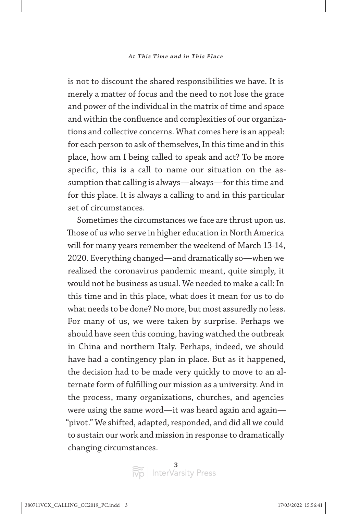is not to discount the shared responsibilities we have. It is merely a matter of focus and the need to not lose the grace and power of the individual in the matrix of time and space and within the confluence and complexities of our organizations and collective concerns. What comes here is an appeal: for each person to ask of themselves, In this time and in this place, how am I being called to speak and act? To be more specific, this is a call to name our situation on the assumption that calling is always—always—for this time and for this place. It is always a calling to and in this particular set of circumstances.

Sometimes the circumstances we face are thrust upon us. Those of us who serve in higher education in North America will for many years remember the weekend of March 13-14, 2020. Everything changed—and dramatically so—when we realized the coronavirus pandemic meant, quite simply, it would not be business as usual. We needed to make a call: In this time and in this place, what does it mean for us to do what needs to be done? No more, but most assuredly no less. For many of us, we were taken by surprise. Perhaps we should have seen this coming, having watched the outbreak in China and northern Italy. Perhaps, indeed, we should have had a contingency plan in place. But as it happened, the decision had to be made very quickly to move to an alternate form of fulfilling our mission as a university. And in the process, many organizations, churches, and agencies were using the same word—it was heard again and again— "pivot." We shifted, adapted, responded, and did all we could to sustain our work and mission in response to dramatically changing circumstances.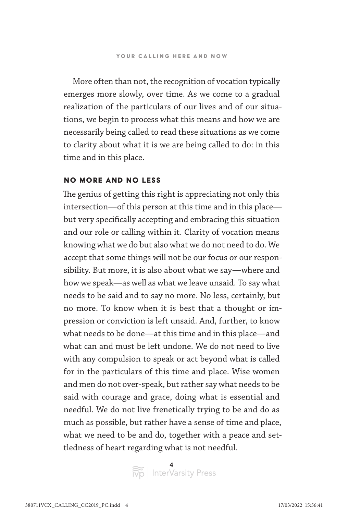More often than not, the recognition of vocation typically emerges more slowly, over time. As we come to a gradual realization of the particulars of our lives and of our situations, we begin to process what this means and how we are necessarily being called to read these situations as we come to clarity about what it is we are being called to do: in this time and in this place.

# No More and No Less

The genius of getting this right is appreciating not only this intersection—of this person at this time and in this place but very specifically accepting and embracing this situation and our role or calling within it. Clarity of vocation means knowing what we do but also what we do not need to do. We accept that some things will not be our focus or our responsibility. But more, it is also about what we say—where and how we speak—as well as what we leave unsaid. To say what needs to be said and to say no more. No less, certainly, but no more. To know when it is best that a thought or impression or conviction is left unsaid. And, further, to know what needs to be done—at this time and in this place—and what can and must be left undone. We do not need to live with any compulsion to speak or act beyond what is called for in the particulars of this time and place. Wise women and men do not over-speak, but rather say what needs to be said with courage and grace, doing what is essential and needful. We do not live frenetically trying to be and do as much as possible, but rather have a sense of time and place, what we need to be and do, together with a peace and settledness of heart regarding what is not needful.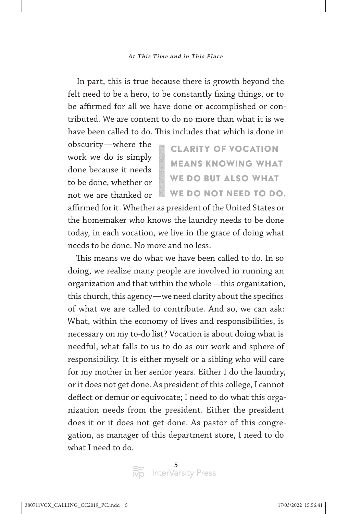In part, this is true because there is growth beyond the felt need to be a hero, to be constantly fixing things, or to be affirmed for all we have done or accomplished or contributed. We are content to do no more than what it is we have been called to do. This includes that which is done in

obscurity—where the work we do is simply done because it needs to be done, whether or not we are thanked or

Clarity of vocation means knowing what WE DO BUT ALSO WHAT WE DO NOT NEED TO DO.

affirmed for it. Whether as president of the United States or the homemaker who knows the laundry needs to be done today, in each vocation, we live in the grace of doing what needs to be done. No more and no less.

This means we do what we have been called to do. In so doing, we realize many people are involved in running an organization and that within the whole—this organization, this church, this agency—we need clarity about the specifics of what we are called to contribute. And so, we can ask: What, within the economy of lives and responsibilities, is necessary on my to-do list? Vocation is about doing what is needful, what falls to us to do as our work and sphere of responsibility. It is either myself or a sibling who will care for my mother in her senior years. Either I do the laundry, or it does not get done. As president of this college, I cannot deflect or demur or equivocate; I need to do what this organization needs from the president. Either the president does it or it does not get done. As pastor of this congregation, as manager of this department store, I need to do what I need to do.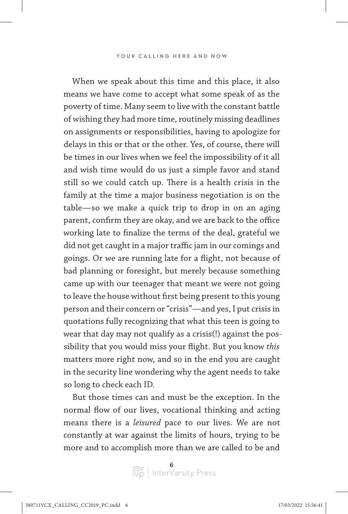When we speak about this time and this place, it also means we have come to accept what some speak of as the poverty of time. Many seem to live with the constant battle of wishing they had more time, routinely missing deadlines on assignments or responsibilities, having to apologize for delays in this or that or the other. Yes, of course, there will be times in our lives when we feel the impossibility of it all and wish time would do us just a simple favor and stand still so we could catch up. There is a health crisis in the family at the time a major business negotiation is on the table—so we make a quick trip to drop in on an aging parent, confirm they are okay, and we are back to the office working late to finalize the terms of the deal, grateful we did not get caught in a major traffic jam in our comings and goings. Or we are running late for a flight, not because of bad planning or foresight, but merely because something came up with our teenager that meant we were not going to leave the house without first being present to this young person and their concern or "crisis"—and yes, I put crisis in quotations fully recognizing that what this teen is going to wear that day may not qualify as a crisis(!) against the possibility that you would miss your flight. But you know *this*  matters more right now, and so in the end you are caught in the security line wondering why the agent needs to take so long to check each ID.

But those times can and must be the exception. In the normal flow of our lives, vocational thinking and acting means there is a *leisured* pace to our lives. We are not constantly at war against the limits of hours, trying to be more and to accomplish more than we are called to be and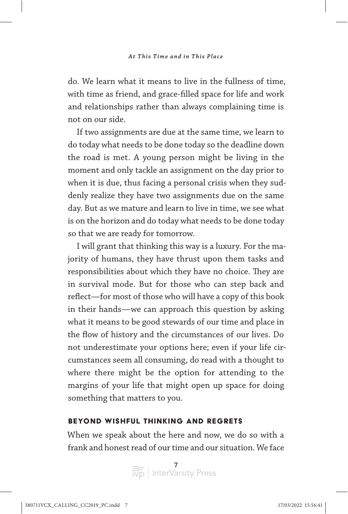do. We learn what it means to live in the fullness of time, with time as friend, and grace-filled space for life and work and relationships rather than always complaining time is not on our side.

If two assignments are due at the same time, we learn to do today what needs to be done today so the deadline down the road is met. A young person might be living in the moment and only tackle an assignment on the day prior to when it is due, thus facing a personal crisis when they suddenly realize they have two assignments due on the same day. But as we mature and learn to live in time, we see what is on the horizon and do today what needs to be done today so that we are ready for tomorrow.

I will grant that thinking this way is a luxury. For the majority of humans, they have thrust upon them tasks and responsibilities about which they have no choice. They are in survival mode. But for those who can step back and reflect—for most of those who will have a copy of this book in their hands—we can approach this question by asking what it means to be good stewards of our time and place in the flow of history and the circumstances of our lives. Do not underestimate your options here; even if your life circumstances seem all consuming, do read with a thought to where there might be the option for attending to the margins of your life that might open up space for doing something that matters to you.

# Beyond Wishful Thinking and Regrets

When we speak about the here and now, we do so with a frank and honest read of our time and our situation. We face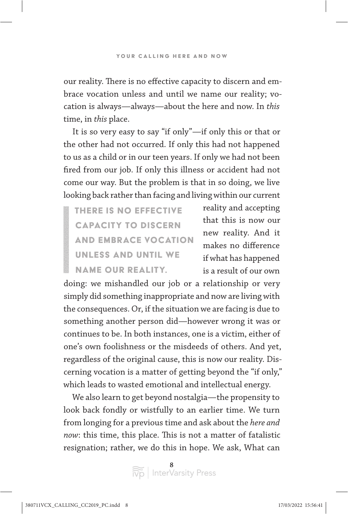our reality. There is no effective capacity to discern and embrace vocation unless and until we name our reality; vocation is always—always—about the here and now. In *this* time, in *this* place.

It is so very easy to say "if only"—if only this or that or the other had not occurred. If only this had not happened to us as a child or in our teen years. If only we had not been fired from our job. If only this illness or accident had not come our way. But the problem is that in so doing, we live looking back rather than facing and living within our current

There is no effective capacity to discern and embrace vocation unless and until we name our reality.

reality and accepting that this is now our new reality. And it makes no difference if what has happened is a result of our own

doing: we mishandled our job or a relationship or very simply did something inappropriate and now are living with the consequences. Or, if the situation we are facing is due to something another person did—however wrong it was or continues to be. In both instances, one is a victim, either of one's own foolishness or the misdeeds of others. And yet, regardless of the original cause, this is now our reality. Discerning vocation is a matter of getting beyond the "if only," which leads to wasted emotional and intellectual energy.

We also learn to get beyond nostalgia—the propensity to look back fondly or wistfully to an earlier time. We turn from longing for a previous time and ask about the *here and now*: this time, this place. This is not a matter of fatalistic resignation; rather, we do this in hope. We ask, What can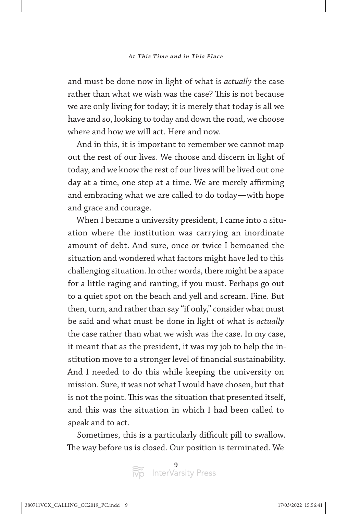and must be done now in light of what is *actually* the case rather than what we wish was the case? This is not because we are only living for today; it is merely that today is all we have and so, looking to today and down the road, we choose where and how we will act. Here and now.

And in this, it is important to remember we cannot map out the rest of our lives. We choose and discern in light of today, and we know the rest of our lives will be lived out one day at a time, one step at a time. We are merely affirming and embracing what we are called to do today—with hope and grace and courage.

When I became a university president, I came into a situation where the institution was carrying an inordinate amount of debt. And sure, once or twice I bemoaned the situation and wondered what factors might have led to this challenging situation. In other words, there might be a space for a little raging and ranting, if you must. Perhaps go out to a quiet spot on the beach and yell and scream. Fine. But then, turn, and rather than say "if only," consider what must be said and what must be done in light of what is *actually* the case rather than what we wish was the case. In my case, it meant that as the president, it was my job to help the institution move to a stronger level of financial sustainability. And I needed to do this while keeping the university on mission. Sure, it was not what I would have chosen, but that is not the point. This was the situation that presented itself, and this was the situation in which I had been called to speak and to act.

Sometimes, this is a particularly difficult pill to swallow. The way before us is closed. Our position is terminated. We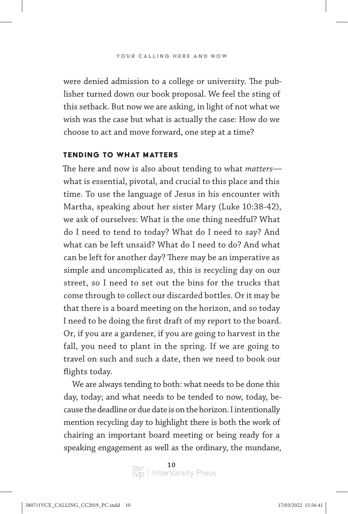were denied admission to a college or university. The publisher turned down our book proposal. We feel the sting of this setback. But now we are asking, in light of not what we wish was the case but what is actually the case: How do we choose to act and move forward, one step at a time?

#### Tending to What Matters

The here and now is also about tending to what *matters* what is essential, pivotal, and crucial to this place and this time. To use the language of Jesus in his encounter with Martha, speaking about her sister Mary (Luke 10:38-42), we ask of ourselves: What is the one thing needful? What do I need to tend to today? What do I need to say? And what can be left unsaid? What do I need to do? And what can be left for another day? There may be an imperative as simple and uncomplicated as, this is recycling day on our street, so I need to set out the bins for the trucks that come through to collect our discarded bottles. Or it may be that there is a board meeting on the horizon, and so today I need to be doing the first draft of my report to the board. Or, if you are a gardener, if you are going to harvest in the fall, you need to plant in the spring. If we are going to travel on such and such a date, then we need to book our flights today.

We are always tending to both: what needs to be done this day, today; and what needs to be tended to now, today, because the deadline or due date is on the horizon. I intentionally mention recycling day to highlight there is both the work of chairing an important board meeting or being ready for a speaking engagement as well as the ordinary, the mundane,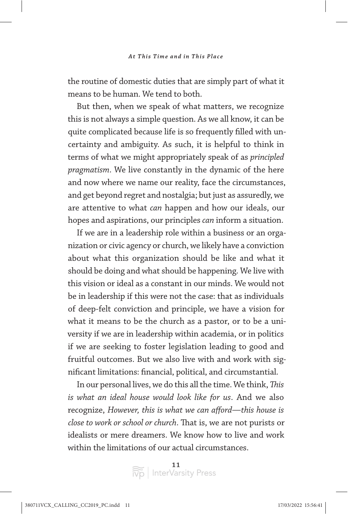the routine of domestic duties that are simply part of what it means to be human. We tend to both.

But then, when we speak of what matters, we recognize this is not always a simple question. As we all know, it can be quite complicated because life is so frequently filled with uncertainty and ambiguity. As such, it is helpful to think in terms of what we might appropriately speak of as *principled pragmatism*. We live constantly in the dynamic of the here and now where we name our reality, face the circumstances, and get beyond regret and nostalgia; but just as assuredly, we are attentive to what *can* happen and how our ideals, our hopes and aspirations, our principles *can* inform a situation.

If we are in a leadership role within a business or an organization or civic agency or church, we likely have a conviction about what this organization should be like and what it should be doing and what should be happening. We live with this vision or ideal as a constant in our minds. We would not be in leadership if this were not the case: that as individuals of deep-felt conviction and principle, we have a vision for what it means to be the church as a pastor, or to be a university if we are in leadership within academia, or in politics if we are seeking to foster legislation leading to good and fruitful outcomes. But we also live with and work with significant limitations: financial, political, and circumstantial.

In our personal lives, we do this all the time. We think, *This is what an ideal house would look like for us*. And we also recognize, *However, this is what we can afford—this house is close to work or school or church*. That is, we are not purists or idealists or mere dreamers. We know how to live and work within the limitations of our actual circumstances.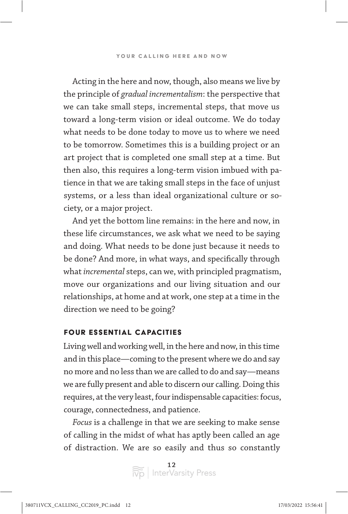Acting in the here and now, though, also means we live by the principle of *gradual incrementalism*: the perspective that we can take small steps, incremental steps, that move us toward a long-term vision or ideal outcome. We do today what needs to be done today to move us to where we need to be tomorrow. Sometimes this is a building project or an art project that is completed one small step at a time. But then also, this requires a long-term vision imbued with patience in that we are taking small steps in the face of unjust systems, or a less than ideal organizational culture or society, or a major project.

And yet the bottom line remains: in the here and now, in these life circumstances, we ask what we need to be saying and doing. What needs to be done just because it needs to be done? And more, in what ways, and specifically through what *incremental* steps, can we, with principled pragmatism, move our organizations and our living situation and our relationships, at home and at work, one step at a time in the direction we need to be going?

## Four Essential Capacities

Living well and working well, in the here and now, in this time and in this place—coming to the present where we do and say no more and no less than we are called to do and say—means we are fully present and able to discern our calling. Doing this requires, at the very least, four indispensable capacities: focus, courage, connectedness, and patience.

*Focus* is a challenge in that we are seeking to make sense of calling in the midst of what has aptly been called an age of distraction. We are so easily and thus so constantly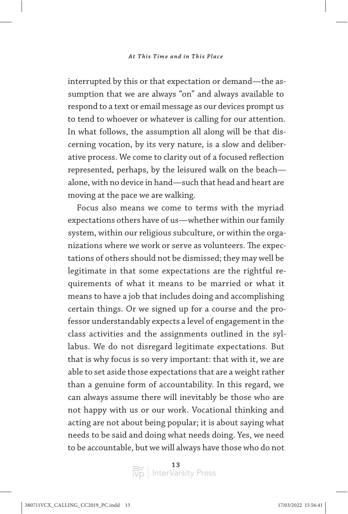interrupted by this or that expectation or demand—the assumption that we are always "on" and always available to respond to a text or email message as our devices prompt us to tend to whoever or whatever is calling for our attention. In what follows, the assumption all along will be that discerning vocation, by its very nature, is a slow and deliberative process. We come to clarity out of a focused reflection represented, perhaps, by the leisured walk on the beach alone, with no device in hand—such that head and heart are moving at the pace we are walking.

Focus also means we come to terms with the myriad expectations others have of us—whether within our family system, within our religious subculture, or within the organizations where we work or serve as volunteers. The expectations of others should not be dismissed; they may well be legitimate in that some expectations are the rightful requirements of what it means to be married or what it means to have a job that includes doing and accomplishing certain things. Or we signed up for a course and the professor understandably expects a level of engagement in the class activities and the assignments outlined in the syllabus. We do not disregard legitimate expectations. But that is why focus is so very important: that with it, we are able to set aside those expectations that are a weight rather than a genuine form of accountability. In this regard, we can always assume there will inevitably be those who are not happy with us or our work. Vocational thinking and acting are not about being popular; it is about saying what needs to be said and doing what needs doing. Yes, we need to be accountable, but we will always have those who do not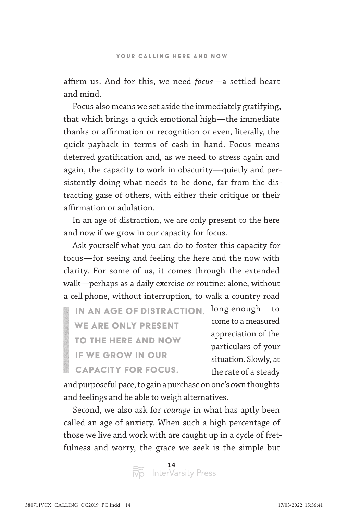affirm us. And for this, we need *focus*—a settled heart and mind.

Focus also means we set aside the immediately gratifying, that which brings a quick emotional high—the immediate thanks or affirmation or recognition or even, literally, the quick payback in terms of cash in hand. Focus means deferred gratification and, as we need to stress again and again, the capacity to work in obscurity—quietly and persistently doing what needs to be done, far from the distracting gaze of others, with either their critique or their affirmation or adulation.

In an age of distraction, we are only present to the here and now if we grow in our capacity for focus.

Ask yourself what you can do to foster this capacity for focus—for seeing and feeling the here and the now with clarity. For some of us, it comes through the extended walk—perhaps as a daily exercise or routine: alone, without a cell phone, without interruption, to walk a country road

IN AN AGE OF DISTRACTION,  $\,$  long enough  $\,$  to WE ARE ONLY PRESENT to the here and now if we grow in our capacity for focus.

come to a measured appreciation of the particulars of your situation. Slowly, at the rate of a steady

and purposeful pace, to gain a purchase on one's own thoughts and feelings and be able to weigh alternatives.

Second, we also ask for *courage* in what has aptly been called an age of anxiety. When such a high percentage of those we live and work with are caught up in a cycle of fretfulness and worry, the grace we seek is the simple but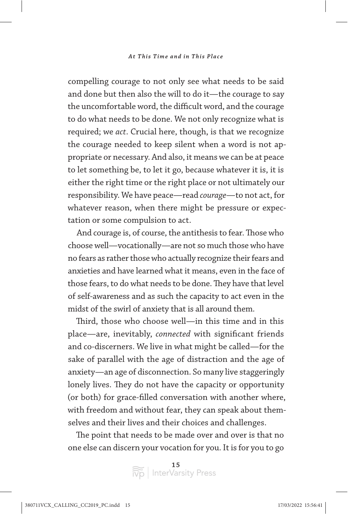compelling courage to not only see what needs to be said and done but then also the will to do it—the courage to say the uncomfortable word, the difficult word, and the courage to do what needs to be done. We not only recognize what is required; we *act*. Crucial here, though, is that we recognize the courage needed to keep silent when a word is not appropriate or necessary. And also, it means we can be at peace to let something be, to let it go, because whatever it is, it is either the right time or the right place or not ultimately our responsibility. We have peace—read *courage*—to not act, for whatever reason, when there might be pressure or expectation or some compulsion to act.

And courage is, of course, the antithesis to fear. Those who choose well—vocationally—are not so much those who have no fears as rather those who actually recognize their fears and anxieties and have learned what it means, even in the face of those fears, to do what needs to be done. They have that level of self-awareness and as such the capacity to act even in the midst of the swirl of anxiety that is all around them.

Third, those who choose well—in this time and in this place—are, inevitably, *connected* with significant friends and co-discerners. We live in what might be called—for the sake of parallel with the age of distraction and the age of anxiety—an age of disconnection. So many live staggeringly lonely lives. They do not have the capacity or opportunity (or both) for grace-filled conversation with another where, with freedom and without fear, they can speak about themselves and their lives and their choices and challenges.

The point that needs to be made over and over is that no one else can discern your vocation for you. It is for you to go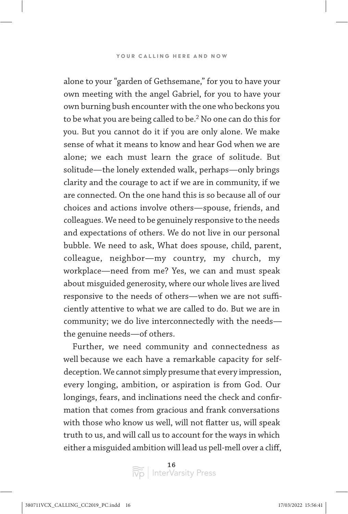alone to your "garden of Gethsemane," for you to have your own meeting with the angel Gabriel, for you to have your own burning bush encounter with the one who beckons you to be what you are being called to be.2 No one can do this for you. But you cannot do it if you are only alone. We make sense of what it means to know and hear God when we are alone; we each must learn the grace of solitude. But solitude—the lonely extended walk, perhaps—only brings clarity and the courage to act if we are in community, if we are connected. On the one hand this is so because all of our choices and actions involve others—spouse, friends, and colleagues. We need to be genuinely responsive to the needs and expectations of others. We do not live in our personal bubble. We need to ask, What does spouse, child, parent, colleague, neighbor—my country, my church, my workplace—need from me? Yes, we can and must speak about misguided generosity, where our whole lives are lived responsive to the needs of others—when we are not sufficiently attentive to what we are called to do. But we are in community; we do live interconnectedly with the needs the genuine needs—of others.

Further, we need community and connectedness as well because we each have a remarkable capacity for selfdeception. We cannot simply presume that every impression, every longing, ambition, or aspiration is from God. Our longings, fears, and inclinations need the check and confirmation that comes from gracious and frank conversations with those who know us well, will not flatter us, will speak truth to us, and will call us to account for the ways in which either a misguided ambition will lead us pell-mell over a cliff,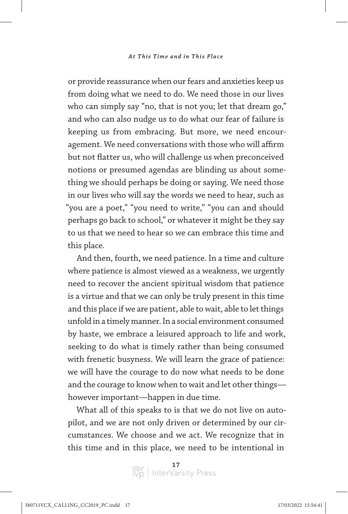or provide reassurance when our fears and anxieties keep us from doing what we need to do. We need those in our lives who can simply say "no, that is not you; let that dream go," and who can also nudge us to do what our fear of failure is keeping us from embracing. But more, we need encouragement. We need conversations with those who will affirm but not flatter us, who will challenge us when preconceived notions or presumed agendas are blinding us about something we should perhaps be doing or saying. We need those in our lives who will say the words we need to hear, such as "you are a poet," "you need to write," "you can and should perhaps go back to school," or whatever it might be they say to us that we need to hear so we can embrace this time and this place.

And then, fourth, we need patience. In a time and culture where patience is almost viewed as a weakness, we urgently need to recover the ancient spiritual wisdom that patience is a virtue and that we can only be truly present in this time and this place if we are patient, able to wait, able to let things unfold in a timely manner. In a social environment consumed by haste, we embrace a leisured approach to life and work, seeking to do what is timely rather than being consumed with frenetic busyness. We will learn the grace of patience: we will have the courage to do now what needs to be done and the courage to know when to wait and let other things however important—happen in due time.

What all of this speaks to is that we do not live on autopilot, and we are not only driven or determined by our circumstances. We choose and we act. We recognize that in this time and in this place, we need to be intentional in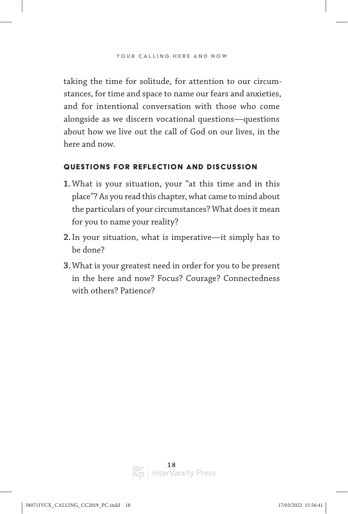taking the time for solitude, for attention to our circumstances, for time and space to name our fears and anxieties, and for intentional conversation with those who come alongside as we discern vocational questions—questions about how we live out the call of God on our lives, in the here and now.

## Questions for Reflection and Discussion

- **1.**What is your situation, your "at this time and in this place"? As you read this chapter, what came to mind about the particulars of your circumstances? What does it mean for you to name your reality?
- **2.**In your situation, what is imperative—it simply has to be done?
- **3.**What is your greatest need in order for you to be present in the here and now? Focus? Courage? Connectedness with others? Patience?